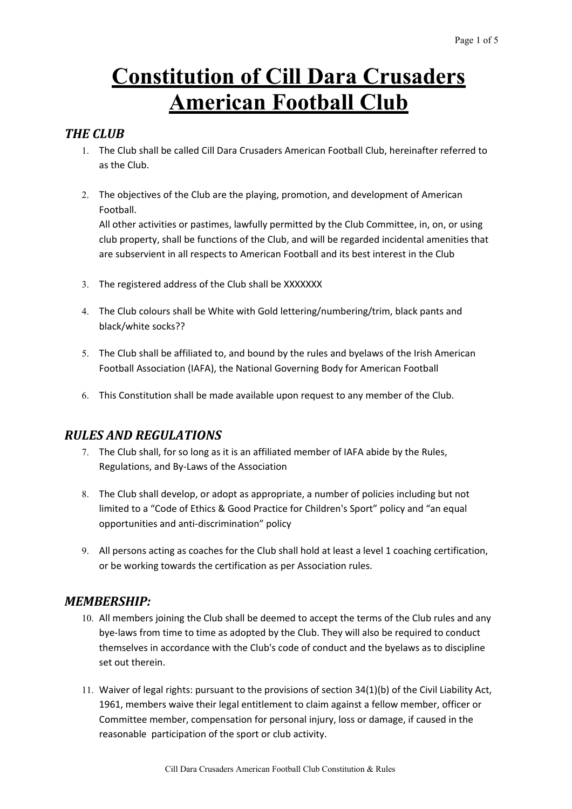# **Constitution of Cill Dara Crusaders American Football Club**

## *THE CLUB*

- 1. The Club shall be called Cill Dara Crusaders American Football Club, hereinafter referred to as the Club.
- 2. The objectives of the Club are the playing, promotion, and development of American Football.

All other activities or pastimes, lawfully permitted by the Club Committee, in, on, or using club property, shall be functions of the Club, and will be regarded incidental amenities that are subservient in all respects to American Football and its best interest in the Club

- 3. The registered address of the Club shall be XXXXXXX
- 4. The Club colours shall be White with Gold lettering/numbering/trim, black pants and black/white socks??
- 5. The Club shall be affiliated to, and bound by the rules and byelaws of the Irish American Football Association (IAFA), the National Governing Body for American Football
- 6. This Constitution shall be made available upon request to any member of the Club.

# *RULES AND REGULATIONS*

- 7. The Club shall, for so long as it is an affiliated member of IAFA abide by the Rules, Regulations, and By-Laws of the Association
- 8. The Club shall develop, or adopt as appropriate, a number of policies including but not limited to a "Code of Ethics & Good Practice for Children's Sport" policy and "an equal opportunities and anti-discrimination" policy
- 9. All persons acting as coaches for the Club shall hold at least a level 1 coaching certification, or be working towards the certification as per Association rules.

## *MEMBERSHIP:*

- 10. All members joining the Club shall be deemed to accept the terms of the Club rules and any bye-laws from time to time as adopted by the Club. They will also be required to conduct themselves in accordance with the Club's code of conduct and the byelaws as to discipline set out therein.
- 11. Waiver of legal rights: pursuant to the provisions of section 34(1)(b) of the Civil Liability Act, 1961, members waive their legal entitlement to claim against a fellow member, officer or Committee member, compensation for personal injury, loss or damage, if caused in the reasonable participation of the sport or club activity.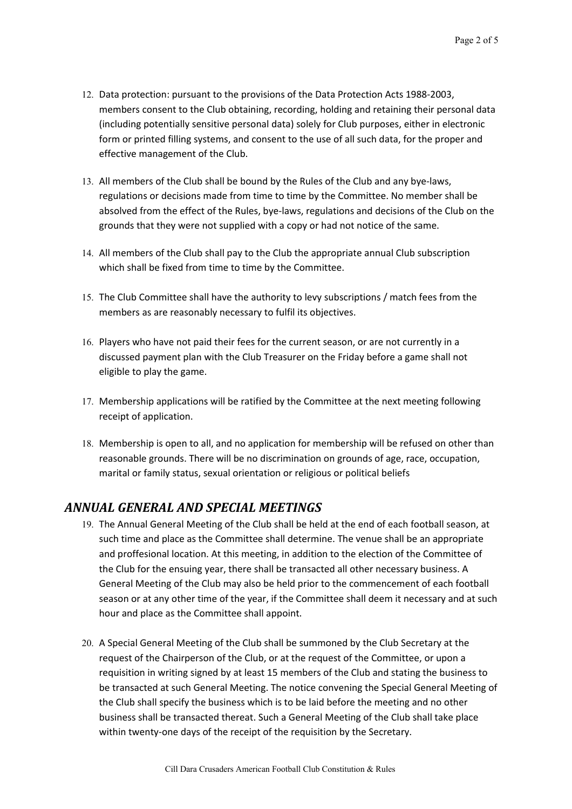- 12. Data protection: pursuant to the provisions of the Data Protection Acts 1988-2003, members consent to the Club obtaining, recording, holding and retaining their personal data (including potentially sensitive personal data) solely for Club purposes, either in electronic form or printed filling systems, and consent to the use of all such data, for the proper and effective management of the Club.
- 13. All members of the Club shall be bound by the Rules of the Club and any bye-laws, regulations or decisions made from time to time by the Committee. No member shall be absolved from the effect of the Rules, bye-laws, regulations and decisions of the Club on the grounds that they were not supplied with a copy or had not notice of the same.
- 14. All members of the Club shall pay to the Club the appropriate annual Club subscription which shall be fixed from time to time by the Committee.
- 15. The Club Committee shall have the authority to levy subscriptions / match fees from the members as are reasonably necessary to fulfil its objectives.
- 16. Players who have not paid their fees for the current season, or are not currently in a discussed payment plan with the Club Treasurer on the Friday before a game shall not eligible to play the game.
- 17. Membership applications will be ratified by the Committee at the next meeting following receipt of application.
- 18. Membership is open to all, and no application for membership will be refused on other than reasonable grounds. There will be no discrimination on grounds of age, race, occupation, marital or family status, sexual orientation or religious or political beliefs

# *ANNUAL GENERAL AND SPECIAL MEETINGS*

- 19. The Annual General Meeting of the Club shall be held at the end of each football season, at such time and place as the Committee shall determine. The venue shall be an appropriate and proffesional location. At this meeting, in addition to the election of the Committee of the Club for the ensuing year, there shall be transacted all other necessary business. A General Meeting of the Club may also be held prior to the commencement of each football season or at any other time of the year, if the Committee shall deem it necessary and at such hour and place as the Committee shall appoint.
- 20. A Special General Meeting of the Club shall be summoned by the Club Secretary at the request of the Chairperson of the Club, or at the request of the Committee, or upon a requisition in writing signed by at least 15 members of the Club and stating the business to be transacted at such General Meeting. The notice convening the Special General Meeting of the Club shall specify the business which is to be laid before the meeting and no other business shall be transacted thereat. Such a General Meeting of the Club shall take place within twenty-one days of the receipt of the requisition by the Secretary.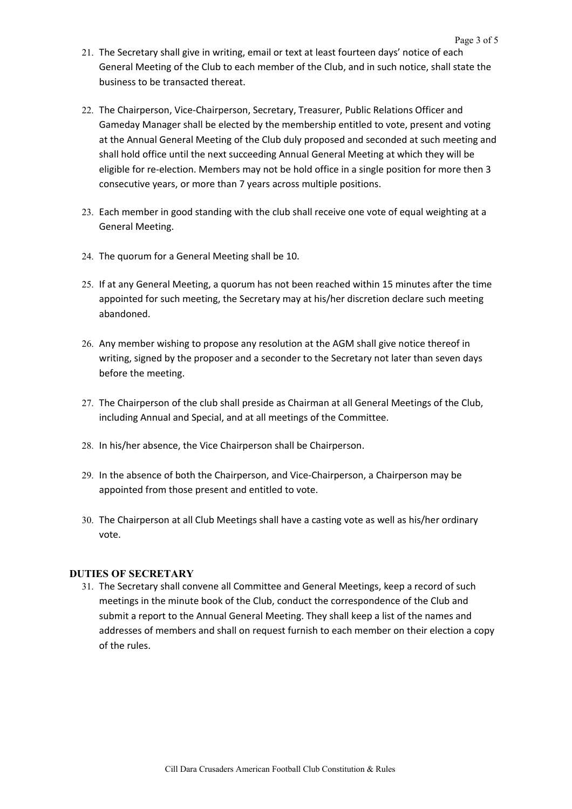- 21. The Secretary shall give in writing, email or text at least fourteen days' notice of each General Meeting of the Club to each member of the Club, and in such notice, shall state the business to be transacted thereat.
- 22. The Chairperson, Vice-Chairperson, Secretary, Treasurer, Public Relations Officer and Gameday Manager shall be elected by the membership entitled to vote, present and voting at the Annual General Meeting of the Club duly proposed and seconded at such meeting and shall hold office until the next succeeding Annual General Meeting at which they will be eligible for re-election. Members may not be hold office in a single position for more then 3 consecutive years, or more than 7 years across multiple positions.
- 23. Each member in good standing with the club shall receive one vote of equal weighting at a General Meeting.
- 24. The quorum for a General Meeting shall be 10.
- 25. If at any General Meeting, a quorum has not been reached within 15 minutes after the time appointed for such meeting, the Secretary may at his/her discretion declare such meeting abandoned.
- 26. Any member wishing to propose any resolution at the AGM shall give notice thereof in writing, signed by the proposer and a seconder to the Secretary not later than seven days before the meeting.
- 27. The Chairperson of the club shall preside as Chairman at all General Meetings of the Club, including Annual and Special, and at all meetings of the Committee.
- 28. In his/her absence, the Vice Chairperson shall be Chairperson.
- 29. In the absence of both the Chairperson, and Vice-Chairperson, a Chairperson may be appointed from those present and entitled to vote.
- 30. The Chairperson at all Club Meetings shall have a casting vote as well as his/her ordinary vote.

#### **DUTIES OF SECRETARY**

31. The Secretary shall convene all Committee and General Meetings, keep a record of such meetings in the minute book of the Club, conduct the correspondence of the Club and submit a report to the Annual General Meeting. They shall keep a list of the names and addresses of members and shall on request furnish to each member on their election a copy of the rules.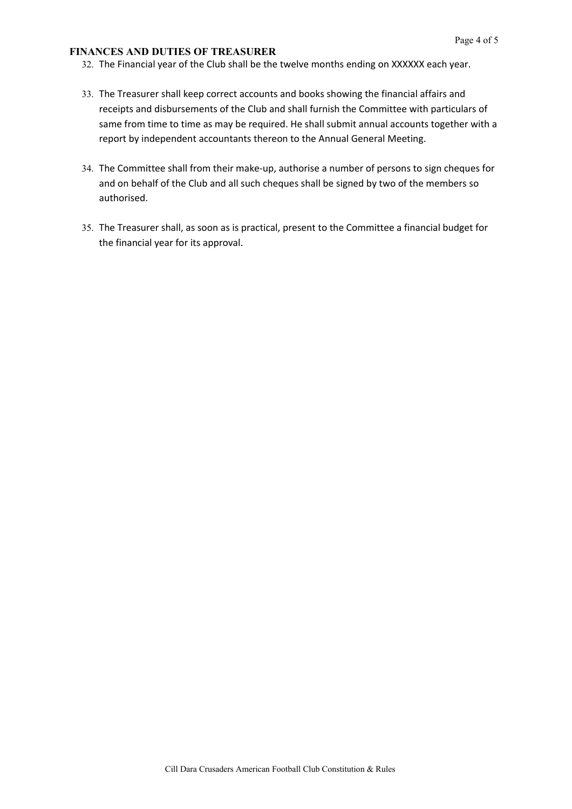#### **FINANCES AND DUTIES OF TREASURER**

- 32. The Financial year of the Club shall be the twelve months ending on XXXXXX each year.
- 33. The Treasurer shall keep correct accounts and books showing the financial affairs and receipts and disbursements of the Club and shall furnish the Committee with particulars of same from time to time as may be required. He shall submit annual accounts together with a report by independent accountants thereon to the Annual General Meeting.
- 34. The Committee shall from their make-up, authorise a number of persons to sign cheques for and on behalf of the Club and all such cheques shall be signed by two of the members so authorised.
- 35. The Treasurer shall, as soon as is practical, present to the Committee a financial budget for the financial year for its approval.